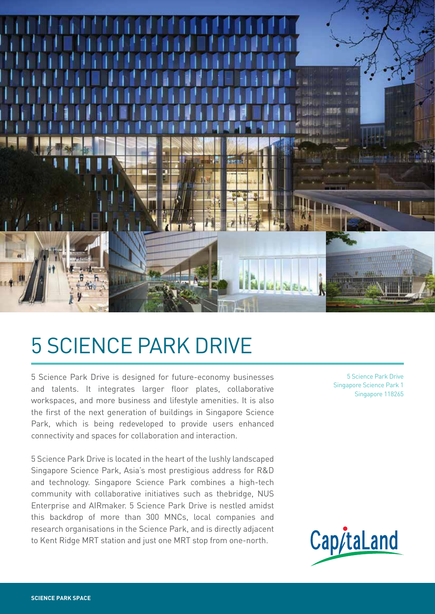

# 5 SCIENCE PARK DRIVE

5 Science Park Drive is designed for future-economy businesses and talents. It integrates larger floor plates, collaborative workspaces, and more business and lifestyle amenities. It is also the first of the next generation of buildings in Singapore Science Park, which is being redeveloped to provide users enhanced connectivity and spaces for collaboration and interaction.

5 Science Park Drive is located in the heart of the lushly landscaped Singapore Science Park, Asia's most prestigious address for R&D and technology. Singapore Science Park combines a high-tech community with collaborative initiatives such as thebridge, NUS Enterprise and AIRmaker. 5 Science Park Drive is nestled amidst this backdrop of more than 300 MNCs, local companies and research organisations in the Science Park, and is directly adjacent to Kent Ridge MRT station and just one MRT stop from one-north.

5 Science Park Drive Singapore Science Park 1 Singapore 118265